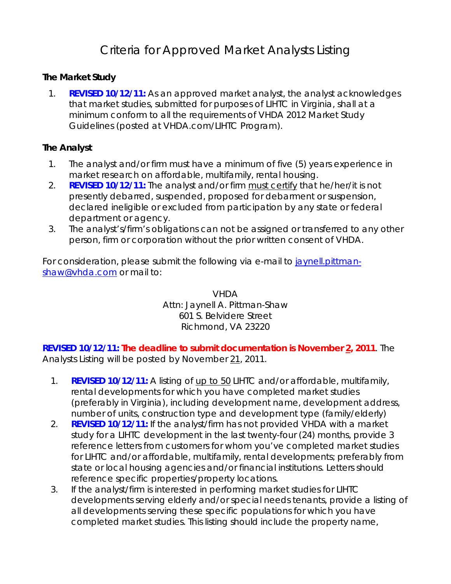## Criteria for Approved Market Analysts Listing

## **The Market Study**

1. **REVISED 10/12/11:** As an approved market analyst, the analyst acknowledges that market studies, submitted for purposes of LIHTC in Virginia, shall at a minimum conform to all the requirements of *VHDA 2012 Market Study Guidelines* (posted at VHDA.com/LIHTC Program).

## **The Analyst**

- 1. The analyst and/or firm must have a minimum of five (5) years experience in market research on affordable, multifamily, rental housing.
- 2. **REVISED 10/12/11:** The analyst and/or firm must certify that he/her/it is not presently debarred, suspended, proposed for debarment or suspension, declared ineligible or excluded from participation by any state or federal department or agency.
- 3. The analyst's/firm's obligations can not be assigned or transferred to any other person, firm or corporation without the prior written consent of VHDA.

For consideration, please submit the following via e-mail to [jaynell.pittman](mailto:jaynell.pittman-shaw@vhda.com)[shaw@vhda.com](mailto:jaynell.pittman-shaw@vhda.com) or mail to:

> VHDA Attn: Jaynell A. Pittman-Shaw 601 S. Belvidere Street Richmond, VA 23220

**REVISED 10/12/11: The deadline to submit documentation is November 2, 2011**. The *Analysts Listing* will be posted by November 21, 2011.

- 1. **REVISED 10/12/11:** A listing of up to 50 LIHTC and/or affordable, multifamily, rental developments for which you have completed market studies (preferably in Virginia), including development name, development address, number of units, construction type and development type (family/elderly)
- 2. **REVISED 10/12/11:** If the analyst/firm has not provided VHDA with a market study for a LIHTC development in the last twenty-four (24) months, provide 3 reference letters from customers for whom you've completed market studies for LIHTC and/or affordable, multifamily, rental developments; preferably from state or local housing agencies and/or financial institutions. Letters should reference specific properties/property locations.
- 3. If the analyst/firm is interested in performing market studies for LIHTC developments serving elderly and/or special needs tenants, provide a listing of all developments serving these specific populations for which you have completed market studies. This listing should include the property name,